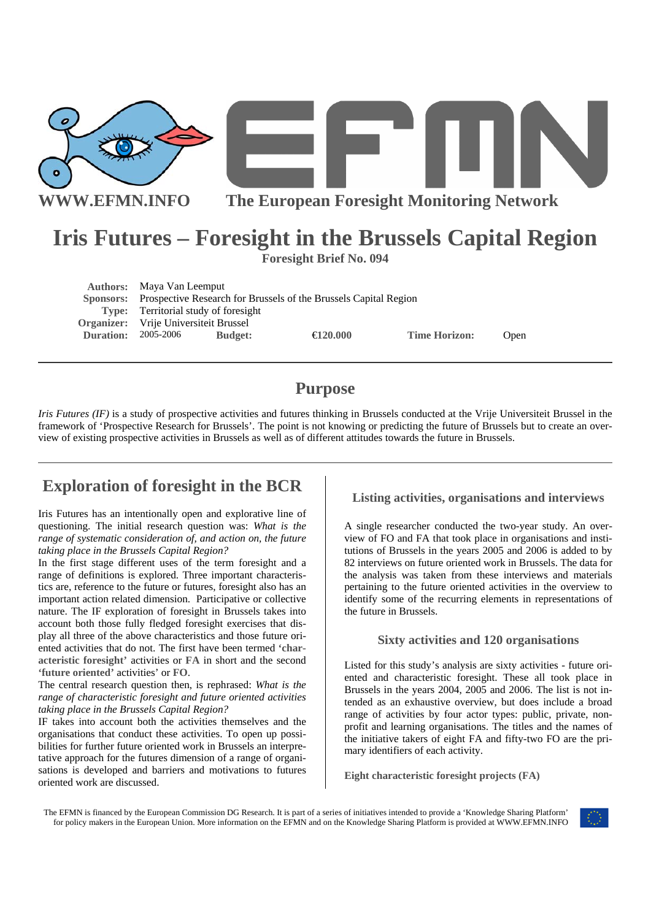



**WWW.EFMN.INFO The European Foresight Monitoring Network**

# **Iris Futures – Foresight in the Brussels Capital Region**

**Foresight Brief No. 094** 

**Authors:** Maya Van Leemput  **Sponsors:** Prospective Research for Brussels of the Brussels Capital Region **Type:** Territorial study of foresight **Organizer:** Vrije Universiteit Brussel **Duration:** 2005-2006 **Budget:** €**120.000 Time Horizon:** Open

# **Purpose**

*Iris Futures (IF)* is a study of prospective activities and futures thinking in Brussels conducted at the Vrije Universiteit Brussel in the framework of 'Prospective Research for Brussels'. The point is not knowing or predicting the future of Brussels but to create an overview of existing prospective activities in Brussels as well as of different attitudes towards the future in Brussels.

## **Exploration of foresight in the BCR**

Iris Futures has an intentionally open and explorative line of questioning. The initial research question was: *What is the range of systematic consideration of, and action on, the future taking place in the Brussels Capital Region?* 

In the first stage different uses of the term foresight and a range of definitions is explored. Three important characteristics are, reference to the future or futures, foresight also has an important action related dimension. Participative or collective nature. The IF exploration of foresight in Brussels takes into account both those fully fledged foresight exercises that display all three of the above characteristics and those future oriented activities that do not. The first have been termed **'characteristic foresight'** activities or **FA** in short and the second **'future oriented'** activities' or **FO**.

The central research question then, is rephrased: *What is the range of characteristic foresight and future oriented activities taking place in the Brussels Capital Region?*

IF takes into account both the activities themselves and the organisations that conduct these activities. To open up possibilities for further future oriented work in Brussels an interpretative approach for the futures dimension of a range of organisations is developed and barriers and motivations to futures oriented work are discussed.

**Listing activities, organisations and interviews** 

A single researcher conducted the two-year study. An overview of FO and FA that took place in organisations and institutions of Brussels in the years 2005 and 2006 is added to by 82 interviews on future oriented work in Brussels. The data for the analysis was taken from these interviews and materials pertaining to the future oriented activities in the overview to identify some of the recurring elements in representations of the future in Brussels.

#### **Sixty activities and 120 organisations**

Listed for this study's analysis are sixty activities - future oriented and characteristic foresight. These all took place in Brussels in the years 2004, 2005 and 2006. The list is not intended as an exhaustive overview, but does include a broad range of activities by four actor types: public, private, nonprofit and learning organisations. The titles and the names of the initiative takers of eight FA and fifty-two FO are the primary identifiers of each activity.

**Eight characteristic foresight projects (FA)** 

The EFMN is financed by the European Commission DG Research. It is part of a series of initiatives intended to provide a 'Knowledge Sharing Platform' for policy makers in the European Union. More information on the EFMN and on the Knowledge Sharing Platform is provided at WWW.EFMN.INFO

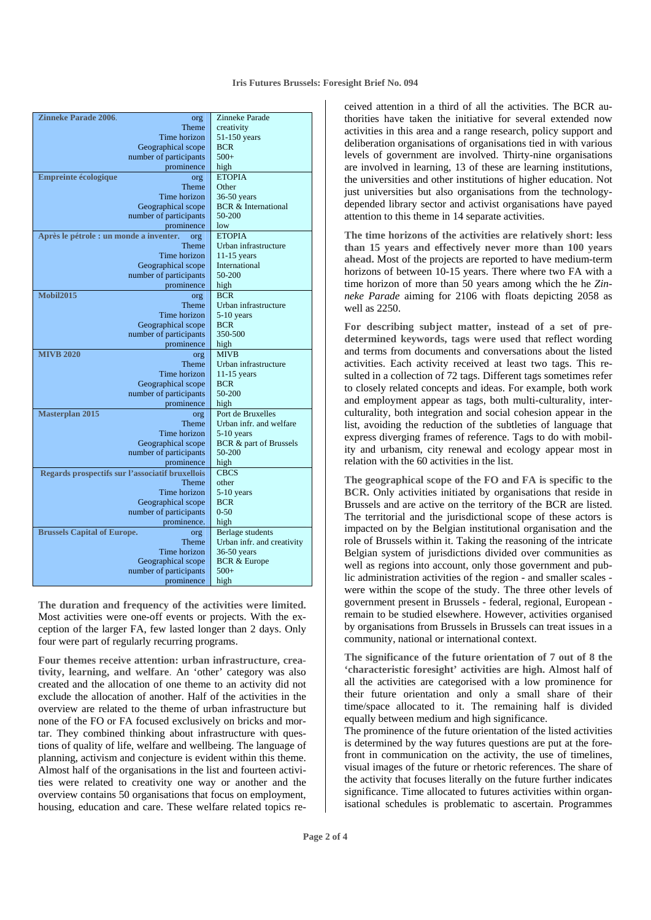#### **Iris Futures Brussels: Foresight Brief No. 094**

| <b>Zinneke Parade 2006.</b>                     | org                    | Zinneke Parade                 |
|-------------------------------------------------|------------------------|--------------------------------|
|                                                 | Theme                  | creativity                     |
|                                                 | Time horizon           | 51-150 years                   |
|                                                 | Geographical scope     | <b>BCR</b>                     |
|                                                 | number of participants | $500+$                         |
|                                                 | prominence             | high                           |
| <b>Empreinte écologique</b>                     | org                    | <b>ETOPIA</b>                  |
|                                                 | <b>Theme</b>           | Other                          |
|                                                 | Time horizon           |                                |
|                                                 |                        | $36-50$ years                  |
|                                                 | Geographical scope     | <b>BCR &amp; International</b> |
|                                                 | number of participants | 50-200                         |
|                                                 | prominence             | low                            |
| Après le pétrole : un monde a inventer.<br>org  |                        | <b>ETOPIA</b>                  |
|                                                 | Theme                  | Urban infrastructure           |
|                                                 | Time horizon           | $11-15$ years                  |
|                                                 | Geographical scope     | International                  |
|                                                 | number of participants | 50-200                         |
|                                                 | prominence             | high                           |
| <b>Mobil2015</b>                                | org                    | <b>BCR</b>                     |
|                                                 | <b>Theme</b>           | Urban infrastructure           |
|                                                 | Time horizon           | $5-10$ years                   |
|                                                 |                        | <b>BCR</b>                     |
|                                                 | Geographical scope     |                                |
|                                                 | number of participants | 350-500                        |
|                                                 | prominence             | high                           |
| <b>MIVB 2020</b>                                | org                    | <b>MIVB</b>                    |
|                                                 | Theme                  | Urban infrastructure           |
|                                                 | Time horizon           | $11-15$ years                  |
|                                                 | Geographical scope     | <b>BCR</b>                     |
|                                                 | number of participants | 50-200                         |
|                                                 | prominence             | high                           |
| <b>Masterplan 2015</b>                          | org                    | Port de Bruxelles              |
|                                                 | <b>Theme</b>           | Urban infr. and welfare        |
|                                                 | Time horizon           | 5-10 years                     |
|                                                 | Geographical scope     | BCR & part of Brussels         |
|                                                 | number of participants | 50-200                         |
|                                                 | prominence             | high                           |
| Regards prospectifs sur l'associatif bruxellois |                        | <b>CBCS</b>                    |
|                                                 | <b>Theme</b>           | other                          |
|                                                 |                        |                                |
|                                                 | Time horizon           | $5-10$ years                   |
|                                                 | Geographical scope     | <b>BCR</b>                     |
|                                                 | number of participants | $0 - 50$                       |
|                                                 | prominence.            | high                           |
| <b>Brussels Capital of Europe.</b>              | org                    | Berlage students               |
|                                                 | <b>Theme</b>           | Urban infr. and creativity     |
|                                                 | Time horizon           | $36-50$ years                  |
|                                                 | Geographical scope     | <b>BCR &amp; Europe</b>        |
|                                                 | number of participants | $500+$                         |
|                                                 | prominence             | high                           |
|                                                 |                        |                                |

**The duration and frequency of the activities were limited.** Most activities were one-off events or projects. With the exception of the larger FA, few lasted longer than 2 days. Only four were part of regularly recurring programs.

**Four themes receive attention: urban infrastructure, creativity, learning, and welfare**. An 'other' category was also created and the allocation of one theme to an activity did not exclude the allocation of another. Half of the activities in the overview are related to the theme of urban infrastructure but none of the FO or FA focused exclusively on bricks and mortar. They combined thinking about infrastructure with questions of quality of life, welfare and wellbeing. The language of planning, activism and conjecture is evident within this theme. Almost half of the organisations in the list and fourteen activities were related to creativity one way or another and the overview contains 50 organisations that focus on employment, housing, education and care. These welfare related topics re-

ceived attention in a third of all the activities. The BCR authorities have taken the initiative for several extended now activities in this area and a range research, policy support and deliberation organisations of organisations tied in with various levels of government are involved. Thirty-nine organisations are involved in learning, 13 of these are learning institutions, the universities and other institutions of higher education. Not just universities but also organisations from the technologydepended library sector and activist organisations have payed attention to this theme in 14 separate activities.

**The time horizons of the activities are relatively short: less than 15 years and effectively never more than 100 years ahead.** Most of the projects are reported to have medium-term horizons of between 10-15 years. There where two FA with a time horizon of more than 50 years among which the he *Zinneke Parade* aiming for 2106 with floats depicting 2058 as well as 2250.

**For describing subject matter, instead of a set of predetermined keywords, tags were used** that reflect wording and terms from documents and conversations about the listed activities. Each activity received at least two tags. This resulted in a collection of 72 tags. Different tags sometimes refer to closely related concepts and ideas. For example, both work and employment appear as tags, both multi-culturality, interculturality, both integration and social cohesion appear in the list, avoiding the reduction of the subtleties of language that express diverging frames of reference. Tags to do with mobility and urbanism, city renewal and ecology appear most in relation with the 60 activities in the list.

**The geographical scope of the FO and FA is specific to the BCR.** Only activities initiated by organisations that reside in Brussels and are active on the territory of the BCR are listed. The territorial and the jurisdictional scope of these actors is impacted on by the Belgian institutional organisation and the role of Brussels within it. Taking the reasoning of the intricate Belgian system of jurisdictions divided over communities as well as regions into account, only those government and public administration activities of the region - and smaller scales were within the scope of the study. The three other levels of government present in Brussels - federal, regional, European remain to be studied elsewhere. However, activities organised by organisations from Brussels in Brussels can treat issues in a community, national or international context.

**The significance of the future orientation of 7 out of 8 the 'characteristic foresight' activities are high.** Almost half of all the activities are categorised with a low prominence for their future orientation and only a small share of their time/space allocated to it. The remaining half is divided equally between medium and high significance.

The prominence of the future orientation of the listed activities is determined by the way futures questions are put at the forefront in communication on the activity, the use of timelines, visual images of the future or rhetoric references. The share of the activity that focuses literally on the future further indicates significance. Time allocated to futures activities within organisational schedules is problematic to ascertain. Programmes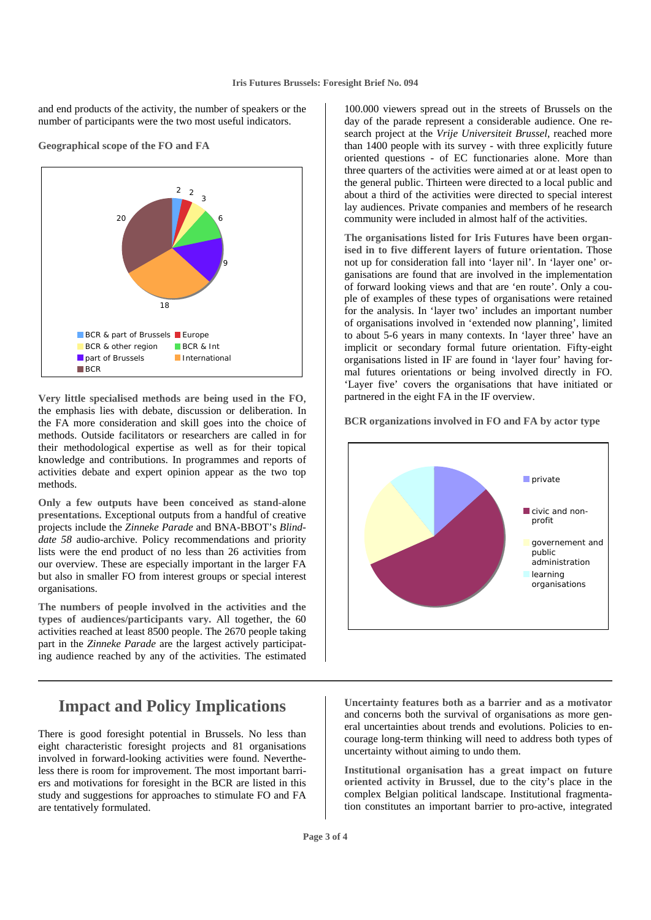and end products of the activity, the number of speakers or the number of participants were the two most useful indicators.



**Geographical scope of the FO and FA** 

**Very little specialised methods are being used in the FO**, the emphasis lies with debate, discussion or deliberation. In the FA more consideration and skill goes into the choice of methods. Outside facilitators or researchers are called in for their methodological expertise as well as for their topical knowledge and contributions. In programmes and reports of activities debate and expert opinion appear as the two top methods.

**Only a few outputs have been conceived as stand-alone presentations.** Exceptional outputs from a handful of creative projects include the *Zinneke Parade* and BNA-BBOT's *Blinddate 58* audio-archive. Policy recommendations and priority lists were the end product of no less than 26 activities from our overview. These are especially important in the larger FA but also in smaller FO from interest groups or special interest organisations.

**The numbers of people involved in the activities and the types of audiences/participants vary.** All together, the 60 activities reached at least 8500 people. The 2670 people taking part in the *Zinneke Parade* are the largest actively participating audience reached by any of the activities. The estimated

### **Impact and Policy Implications**

There is good foresight potential in Brussels. No less than eight characteristic foresight projects and 81 organisations involved in forward-looking activities were found. Nevertheless there is room for improvement. The most important barriers and motivations for foresight in the BCR are listed in this study and suggestions for approaches to stimulate FO and FA are tentatively formulated.

100.000 viewers spread out in the streets of Brussels on the day of the parade represent a considerable audience. One research project at the *Vrije Universiteit Brussel*, reached more than 1400 people with its survey - with three explicitly future oriented questions - of EC functionaries alone. More than three quarters of the activities were aimed at or at least open to the general public. Thirteen were directed to a local public and about a third of the activities were directed to special interest lay audiences. Private companies and members of he research community were included in almost half of the activities.

**The organisations listed for Iris Futures have been organised in to five different layers of future orientation.** Those not up for consideration fall into 'layer nil'. In 'layer one' organisations are found that are involved in the implementation of forward looking views and that are 'en route'. Only a couple of examples of these types of organisations were retained for the analysis. In 'layer two' includes an important number of organisations involved in 'extended now planning', limited to about 5-6 years in many contexts. In 'layer three' have an implicit or secondary formal future orientation. Fifty-eight organisations listed in IF are found in 'layer four' having formal futures orientations or being involved directly in FO. 'Layer five' covers the organisations that have initiated or partnered in the eight FA in the IF overview.

#### **BCR organizations involved in FO and FA by actor type**



**Uncertainty features both as a barrier and as a motivator** and concerns both the survival of organisations as more general uncertainties about trends and evolutions. Policies to encourage long-term thinking will need to address both types of uncertainty without aiming to undo them.

**Institutional organisation has a great impact on future oriented activity in Brussel**, due to the city's place in the complex Belgian political landscape. Institutional fragmentation constitutes an important barrier to pro-active, integrated